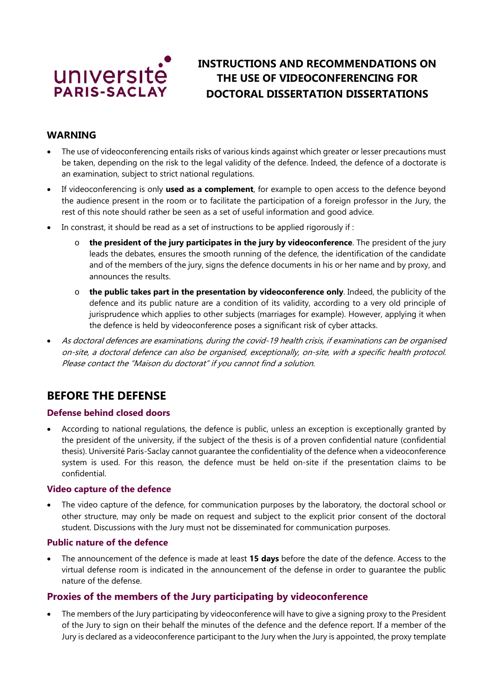

# **INSTRUCTIONS AND RECOMMENDATIONS ON THE USE OF VIDEOCONFERENCING FOR DOCTORAL DISSERTATION DISSERTATIONS**

### **WARNING**

- The use of videoconferencing entails risks of various kinds against which greater or lesser precautions must be taken, depending on the risk to the legal validity of the defence. Indeed, the defence of a doctorate is an examination, subject to strict national regulations.
- If videoconferencing is only **used as a complement**, for example to open access to the defence beyond the audience present in the room or to facilitate the participation of a foreign professor in the Jury, the rest of this note should rather be seen as a set of useful information and good advice.
- In constrast, it should be read as a set of instructions to be applied rigorously if :
	- o **the president of the jury participates in the jury by videoconference**. The president of the jury leads the debates, ensures the smooth running of the defence, the identification of the candidate and of the members of the jury, signs the defence documents in his or her name and by proxy, and announces the results.
	- o **the public takes part in the presentation by videoconference only**. Indeed, the publicity of the defence and its public nature are a condition of its validity, according to a very old principle of jurisprudence which applies to other subjects (marriages for example). However, applying it when the defence is held by videoconference poses a significant risk of cyber attacks.
- As doctoral defences are examinations, during the covid-19 health crisis, if examinations can be organised on-site, a doctoral defence can also be organised, exceptionally, on-site, with a specific health protocol. Please contact the "Maison du doctorat" if you cannot find a solution.

## **BEFORE THE DEFENSE**

#### **Defense behind closed doors**

• According to national regulations, the defence is public, unless an exception is exceptionally granted by the president of the university, if the subject of the thesis is of a proven confidential nature (confidential thesis). Université Paris-Saclay cannot guarantee the confidentiality of the defence when a videoconference system is used. For this reason, the defence must be held on-site if the presentation claims to be confidential.

#### **Video capture of the defence**

• The video capture of the defence, for communication purposes by the laboratory, the doctoral school or other structure, may only be made on request and subject to the explicit prior consent of the doctoral student. Discussions with the Jury must not be disseminated for communication purposes.

#### **Public nature of the defence**

• The announcement of the defence is made at least **15 days** before the date of the defence. Access to the virtual defense room is indicated in the announcement of the defense in order to guarantee the public nature of the defense.

## **Proxies of the members of the Jury participating by videoconference**

• The members of the Jury participating by videoconference will have to give a signing proxy to the President of the Jury to sign on their behalf the minutes of the defence and the defence report. If a member of the Jury is declared as a videoconference participant to the Jury when the Jury is appointed, the proxy template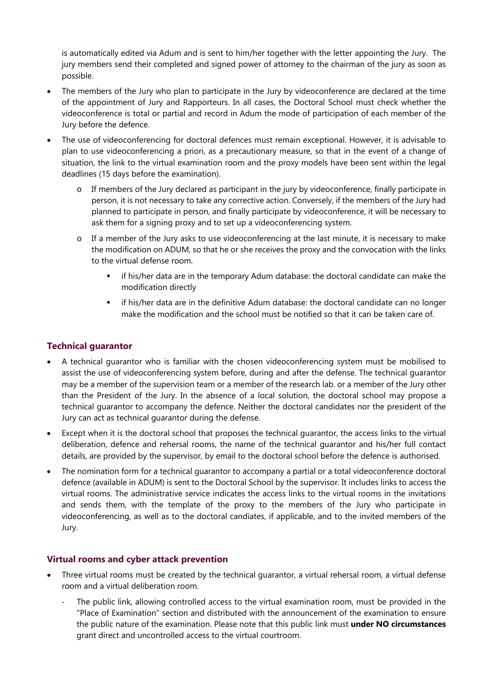is automatically edited via Adum and is sent to him/her together with the letter appointing the Jury. The jury members send their completed and signed power of attorney to the chairman of the jury as soon as possible.

- The members of the Jury who plan to participate in the Jury by videoconference are declared at the time of the appointment of Jury and Rapporteurs. In all cases, the Doctoral School must check whether the videoconference is total or partial and record in Adum the mode of participation of each member of the Jury before the defence.
- The use of videoconferencing for doctoral defences must remain exceptional. However, it is advisable to plan to use videoconferencing a priori, as a precautionary measure, so that in the event of a change of situation, the link to the virtual examination room and the proxy models have been sent within the legal deadlines (15 days before the examination).
	- o If members of the Jury declared as participant in the jury by videoconference, finally participate in person, it is not necessary to take any corrective action. Conversely, if the members of the Jury had planned to participate in person, and finally participate by videoconference, it will be necessary to ask them for a signing proxy and to set up a videoconferencing system.
	- o If a member of the Jury asks to use videoconferencing at the last minute, it is necessary to make the modification on ADUM, so that he or she receives the proxy and the convocation with the links to the virtual defense room.
		- if his/her data are in the temporary Adum database: the doctoral candidate can make the modification directly
		- if his/her data are in the definitive Adum database: the doctoral candidate can no longer make the modification and the school must be notified so that it can be taken care of.

### **Technical guarantor**

- A technical guarantor who is familiar with the chosen videoconferencing system must be mobilised to assist the use of videoconferencing system before, during and after the defense. The technical guarantor may be a member of the supervision team or a member of the research lab. or a member of the Jury other than the President of the Jury. In the absence of a local solution, the doctoral school may propose a technical guarantor to accompany the defence. Neither the doctoral candidates nor the president of the Jury can act as technical guarantor during the defense.
- Except when it is the doctoral school that proposes the technical guarantor, the access links to the virtual deliberation, defence and rehersal rooms, the name of the technical guarantor and his/her full contact details, are provided by the supervisor, by email to the doctoral school before the defence is authorised.
- The nomination form for a technical guarantor to accompany a partial or a total videoconference doctoral defence (available in ADUM) is sent to the Doctoral School by the supervisor. It includes links to access the virtual rooms. The administrative service indicates the access links to the virtual rooms in the invitations and sends them, with the template of the proxy to the members of the Jury who participate in videoconferencing, as well as to the doctoral candiates, if applicable, and to the invited members of the Jury.

#### **Virtual rooms and cyber attack prevention**

- Three virtual rooms must be created by the technical guarantor, a virtual rehersal room, a virtual defense room and a virtual deliberation room.
	- *-* The public link, allowing controlled access to the virtual examination room, must be provided in the "Place of Examination" section and distributed with the announcement of the examination to ensure the public nature of the examination. Please note that this public link must **under NO circumstances** grant direct and uncontrolled access to the virtual courtroom.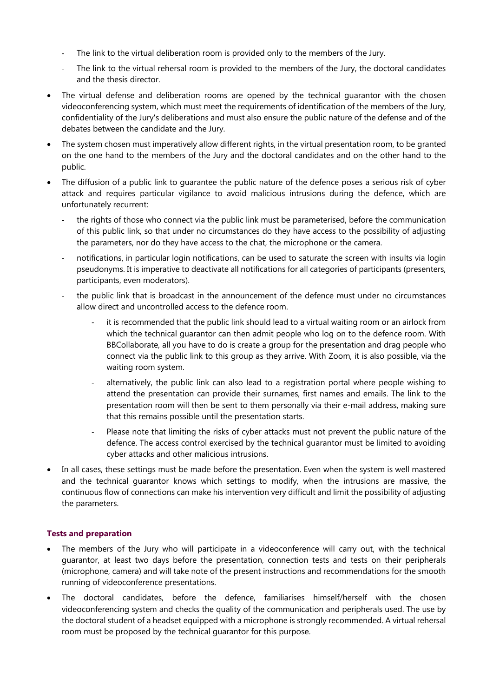- *-* The link to the virtual deliberation room is provided only to the members of the Jury.
- The link to the virtual rehersal room is provided to the members of the Jury, the doctoral candidates and the thesis director.
- The virtual defense and deliberation rooms are opened by the technical quarantor with the chosen videoconferencing system, which must meet the requirements of identification of the members of the Jury, confidentiality of the Jury's deliberations and must also ensure the public nature of the defense and of the debates between the candidate and the Jury.
- The system chosen must imperatively allow different rights, in the virtual presentation room, to be granted on the one hand to the members of the Jury and the doctoral candidates and on the other hand to the public.
- The diffusion of a public link to guarantee the public nature of the defence poses a serious risk of cyber attack and requires particular vigilance to avoid malicious intrusions during the defence, which are unfortunately recurrent:
	- *-* the rights of those who connect via the public link must be parameterised, before the communication of this public link, so that under no circumstances do they have access to the possibility of adjusting the parameters, nor do they have access to the chat, the microphone or the camera.
	- *-* notifications, in particular login notifications, can be used to saturate the screen with insults via login pseudonyms. It is imperative to deactivate all notifications for all categories of participants (presenters, participants, even moderators).
	- *-* the public link that is broadcast in the announcement of the defence must under no circumstances allow direct and uncontrolled access to the defence room.
		- *-* it is recommended that the public link should lead to a virtual waiting room or an airlock from which the technical guarantor can then admit people who log on to the defence room. With BBCollaborate, all you have to do is create a group for the presentation and drag people who connect via the public link to this group as they arrive. With Zoom, it is also possible, via the waiting room system.
		- *-* alternatively, the public link can also lead to a registration portal where people wishing to attend the presentation can provide their surnames, first names and emails. The link to the presentation room will then be sent to them personally via their e-mail address, making sure that this remains possible until the presentation starts.
		- *-* Please note that limiting the risks of cyber attacks must not prevent the public nature of the defence. The access control exercised by the technical guarantor must be limited to avoiding cyber attacks and other malicious intrusions.
- In all cases, these settings must be made before the presentation. Even when the system is well mastered and the technical guarantor knows which settings to modify, when the intrusions are massive, the continuous flow of connections can make his intervention very difficult and limit the possibility of adjusting the parameters.

#### **Tests and preparation**

- The members of the Jury who will participate in a videoconference will carry out, with the technical guarantor, at least two days before the presentation, connection tests and tests on their peripherals (microphone, camera) and will take note of the present instructions and recommendations for the smooth running of videoconference presentations.
- The doctoral candidates, before the defence, familiarises himself/herself with the chosen videoconferencing system and checks the quality of the communication and peripherals used. The use by the doctoral student of a headset equipped with a microphone is strongly recommended. A virtual rehersal room must be proposed by the technical guarantor for this purpose.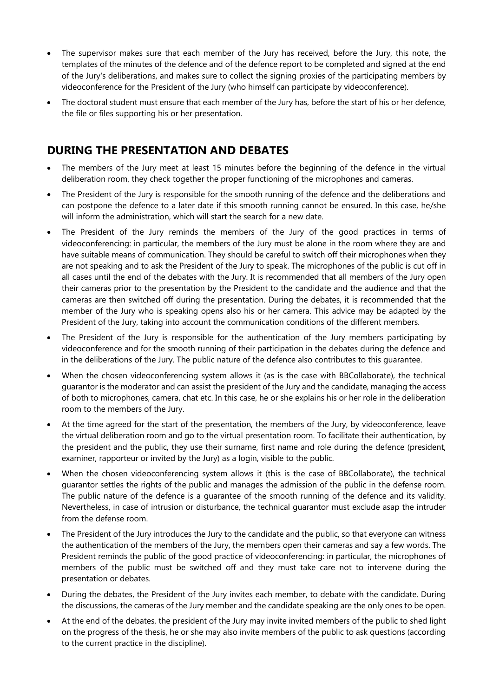- The supervisor makes sure that each member of the Jury has received, before the Jury, this note, the templates of the minutes of the defence and of the defence report to be completed and signed at the end of the Jury's deliberations, and makes sure to collect the signing proxies of the participating members by videoconference for the President of the Jury (who himself can participate by videoconference).
- The doctoral student must ensure that each member of the Jury has, before the start of his or her defence, the file or files supporting his or her presentation.

## **DURING THE PRESENTATION AND DEBATES**

- The members of the Jury meet at least 15 minutes before the beginning of the defence in the virtual deliberation room, they check together the proper functioning of the microphones and cameras.
- The President of the Jury is responsible for the smooth running of the defence and the deliberations and can postpone the defence to a later date if this smooth running cannot be ensured. In this case, he/she will inform the administration, which will start the search for a new date.
- The President of the Jury reminds the members of the Jury of the good practices in terms of videoconferencing: in particular, the members of the Jury must be alone in the room where they are and have suitable means of communication. They should be careful to switch off their microphones when they are not speaking and to ask the President of the Jury to speak. The microphones of the public is cut off in all cases until the end of the debates with the Jury. It is recommended that all members of the Jury open their cameras prior to the presentation by the President to the candidate and the audience and that the cameras are then switched off during the presentation. During the debates, it is recommended that the member of the Jury who is speaking opens also his or her camera. This advice may be adapted by the President of the Jury, taking into account the communication conditions of the different members.
- The President of the Jury is responsible for the authentication of the Jury members participating by videoconference and for the smooth running of their participation in the debates during the defence and in the deliberations of the Jury. The public nature of the defence also contributes to this guarantee.
- When the chosen videoconferencing system allows it (as is the case with BBCollaborate), the technical guarantor is the moderator and can assist the president of the Jury and the candidate, managing the access of both to microphones, camera, chat etc. In this case, he or she explains his or her role in the deliberation room to the members of the Jury.
- At the time agreed for the start of the presentation, the members of the Jury, by videoconference, leave the virtual deliberation room and go to the virtual presentation room. To facilitate their authentication, by the president and the public, they use their surname, first name and role during the defence (president, examiner, rapporteur or invited by the Jury) as a login, visible to the public.
- When the chosen videoconferencing system allows it (this is the case of BBCollaborate), the technical guarantor settles the rights of the public and manages the admission of the public in the defense room. The public nature of the defence is a guarantee of the smooth running of the defence and its validity. Nevertheless, in case of intrusion or disturbance, the technical guarantor must exclude asap the intruder from the defense room.
- The President of the Jury introduces the Jury to the candidate and the public, so that everyone can witness the authentication of the members of the Jury, the members open their cameras and say a few words. The President reminds the public of the good practice of videoconferencing: in particular, the microphones of members of the public must be switched off and they must take care not to intervene during the presentation or debates.
- During the debates, the President of the Jury invites each member, to debate with the candidate. During the discussions, the cameras of the Jury member and the candidate speaking are the only ones to be open.
- At the end of the debates, the president of the Jury may invite invited members of the public to shed light on the progress of the thesis, he or she may also invite members of the public to ask questions (according to the current practice in the discipline).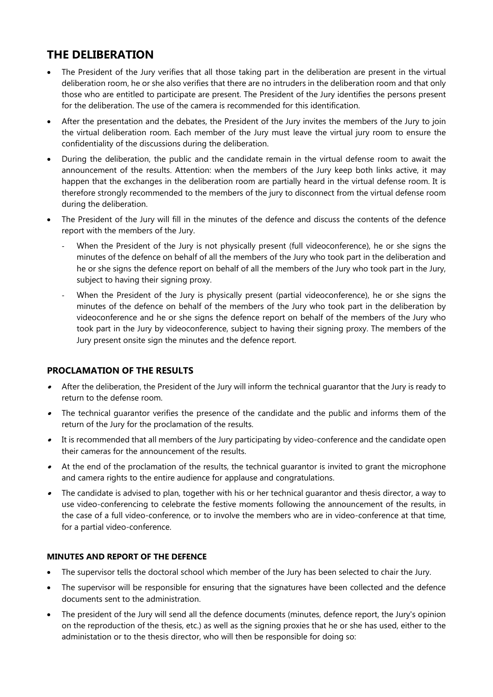## **THE DELIBERATION**

- The President of the Jury verifies that all those taking part in the deliberation are present in the virtual deliberation room, he or she also verifies that there are no intruders in the deliberation room and that only those who are entitled to participate are present. The President of the Jury identifies the persons present for the deliberation. The use of the camera is recommended for this identification.
- After the presentation and the debates, the President of the Jury invites the members of the Jury to join the virtual deliberation room. Each member of the Jury must leave the virtual jury room to ensure the confidentiality of the discussions during the deliberation.
- During the deliberation, the public and the candidate remain in the virtual defense room to await the announcement of the results. Attention: when the members of the Jury keep both links active, it may happen that the exchanges in the deliberation room are partially heard in the virtual defense room. It is therefore strongly recommended to the members of the jury to disconnect from the virtual defense room during the deliberation.
- The President of the Jury will fill in the minutes of the defence and discuss the contents of the defence report with the members of the Jury.
	- When the President of the Jury is not physically present (full videoconference), he or she signs the minutes of the defence on behalf of all the members of the Jury who took part in the deliberation and he or she signs the defence report on behalf of all the members of the Jury who took part in the Jury, subject to having their signing proxy.
	- When the President of the Jury is physically present (partial videoconference), he or she signs the minutes of the defence on behalf of the members of the Jury who took part in the deliberation by videoconference and he or she signs the defence report on behalf of the members of the Jury who took part in the Jury by videoconference, subject to having their signing proxy. The members of the Jury present onsite sign the minutes and the defence report.

## **PROCLAMATION OF THE RESULTS**

- After the deliberation, the President of the Jury will inform the technical guarantor that the Jury is ready to return to the defense room.
- The technical guarantor verifies the presence of the candidate and the public and informs them of the return of the Jury for the proclamation of the results.
- It is recommended that all members of the Jury participating by video-conference and the candidate open their cameras for the announcement of the results.
- At the end of the proclamation of the results, the technical guarantor is invited to grant the microphone and camera rights to the entire audience for applause and congratulations.
- The candidate is advised to plan, together with his or her technical guarantor and thesis director, a way to use video-conferencing to celebrate the festive moments following the announcement of the results, in the case of a full video-conference, or to involve the members who are in video-conference at that time, for a partial video-conference.

### **MINUTES AND REPORT OF THE DEFENCE**

- The supervisor tells the doctoral school which member of the Jury has been selected to chair the Jury.
- The supervisor will be responsible for ensuring that the signatures have been collected and the defence documents sent to the administration.
- The president of the Jury will send all the defence documents (minutes, defence report, the Jury's opinion on the reproduction of the thesis, etc.) as well as the signing proxies that he or she has used, either to the administation or to the thesis director, who will then be responsible for doing so: